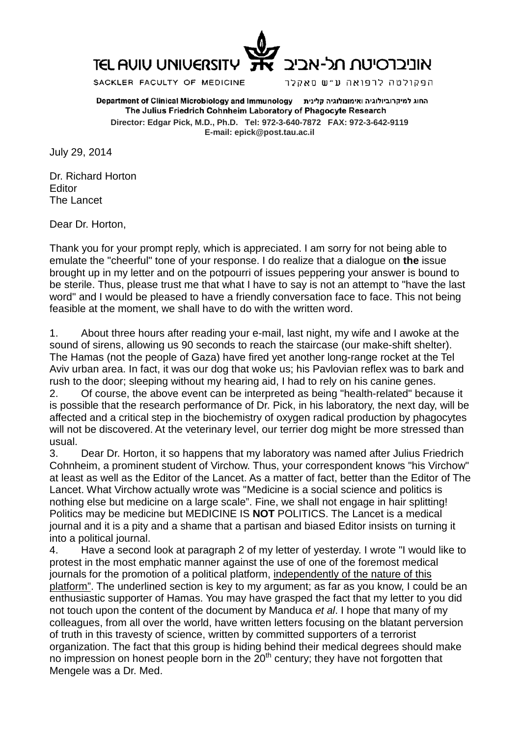

SACKLER FACULTY OF MEDICINE

הפקולטה לרפואה ע״ש סאקלר

החוג למיקרוביולוגיה ואימונולוגיה קלינית Department of Clinical Microbiology and Immunology The Julius Friedrich Cohnheim Laboratory of Phagocyte Research **Director: Edgar Pick, M.D., Ph.D. Tel: 972-3-640-7872 FAX: 972-3-642-9119 E-mail: epick@post.tau.ac.il**

July 29, 2014

Dr. Richard Horton Editor The Lancet

Dear Dr. Horton,

Thank you for your prompt reply, which is appreciated. I am sorry for not being able to emulate the "cheerful" tone of your response. I do realize that a dialogue on **the** issue brought up in my letter and on the potpourri of issues peppering your answer is bound to be sterile. Thus, please trust me that what I have to say is not an attempt to "have the last word" and I would be pleased to have a friendly conversation face to face. This not being feasible at the moment, we shall have to do with the written word.

1. About three hours after reading your e-mail, last night, my wife and I awoke at the sound of sirens, allowing us 90 seconds to reach the staircase (our make-shift shelter). The Hamas (not the people of Gaza) have fired yet another long-range rocket at the Tel Aviv urban area. In fact, it was our dog that woke us; his Pavlovian reflex was to bark and rush to the door; sleeping without my hearing aid, I had to rely on his canine genes.

2. Of course, the above event can be interpreted as being "health-related" because it is possible that the research performance of Dr. Pick, in his laboratory, the next day, will be affected and a critical step in the biochemistry of oxygen radical production by phagocytes will not be discovered. At the veterinary level, our terrier dog might be more stressed than usual.

3. Dear Dr. Horton, it so happens that my laboratory was named after Julius Friedrich Cohnheim, a prominent student of Virchow. Thus, your correspondent knows "his Virchow" at least as well as the Editor of the Lancet. As a matter of fact, better than the Editor of The Lancet. What Virchow actually wrote was "Medicine is a social science and politics is nothing else but medicine on a large scale". Fine, we shall not engage in hair splitting! Politics may be medicine but MEDICINE IS **NOT** POLITICS. The Lancet is a medical journal and it is a pity and a shame that a partisan and biased Editor insists on turning it into a political journal.

4. Have a second look at paragraph 2 of my letter of yesterday. I wrote "I would like to protest in the most emphatic manner against the use of one of the foremost medical journals for the promotion of a political platform, independently of the nature of this platform". The underlined section is key to my argument; as far as you know, I could be an enthusiastic supporter of Hamas. You may have grasped the fact that my letter to you did not touch upon the content of the document by Manduca *et al*. I hope that many of my colleagues, from all over the world, have written letters focusing on the blatant perversion of truth in this travesty of science, written by committed supporters of a terrorist organization. The fact that this group is hiding behind their medical degrees should make no impression on honest people born in the  $20<sup>th</sup>$  century; they have not forgotten that Mengele was a Dr. Med.